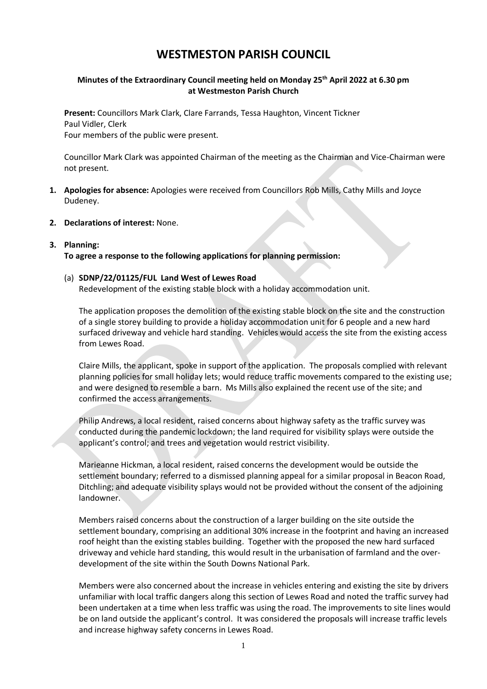## **WESTMESTON PARISH COUNCIL**

## **Minutes of the Extraordinary Council meeting held on Monday 25th April 2022 at 6.30 pm at Westmeston Parish Church**

**Present:** Councillors Mark Clark, Clare Farrands, Tessa Haughton, Vincent Tickner Paul Vidler, Clerk Four members of the public were present.

Councillor Mark Clark was appointed Chairman of the meeting as the Chairman and Vice-Chairman were not present.

- **1. Apologies for absence:** Apologies were received from Councillors Rob Mills, Cathy Mills and Joyce Dudeney.
- **2. Declarations of interest:** None.

## **3. Planning:**

**To agree a response to the following applications for planning permission:**

## (a) **SDNP/22/01125/FUL Land West of Lewes Road**

Redevelopment of the existing stable block with a holiday accommodation unit.

The application proposes the demolition of the existing stable block on the site and the construction of a single storey building to provide a holiday accommodation unit for 6 people and a new hard surfaced driveway and vehicle hard standing. Vehicles would access the site from the existing access from Lewes Road.

Claire Mills, the applicant, spoke in support of the application. The proposals complied with relevant planning policies for small holiday lets; would reduce traffic movements compared to the existing use; and were designed to resemble a barn. Ms Mills also explained the recent use of the site; and confirmed the access arrangements.

Philip Andrews, a local resident, raised concerns about highway safety as the traffic survey was conducted during the pandemic lockdown; the land required for visibility splays were outside the applicant's control; and trees and vegetation would restrict visibility.

Marieanne Hickman, a local resident, raised concerns the development would be outside the settlement boundary; referred to a dismissed planning appeal for a similar proposal in Beacon Road, Ditchling; and adequate visibility splays would not be provided without the consent of the adjoining landowner.

Members raised concerns about the construction of a larger building on the site outside the settlement boundary, comprising an additional 30% increase in the footprint and having an increased roof height than the existing stables building. Together with the proposed the new hard surfaced driveway and vehicle hard standing, this would result in the urbanisation of farmland and the overdevelopment of the site within the South Downs National Park.

Members were also concerned about the increase in vehicles entering and existing the site by drivers unfamiliar with local traffic dangers along this section of Lewes Road and noted the traffic survey had been undertaken at a time when less traffic was using the road. The improvements to site lines would be on land outside the applicant's control. It was considered the proposals will increase traffic levels and increase highway safety concerns in Lewes Road.